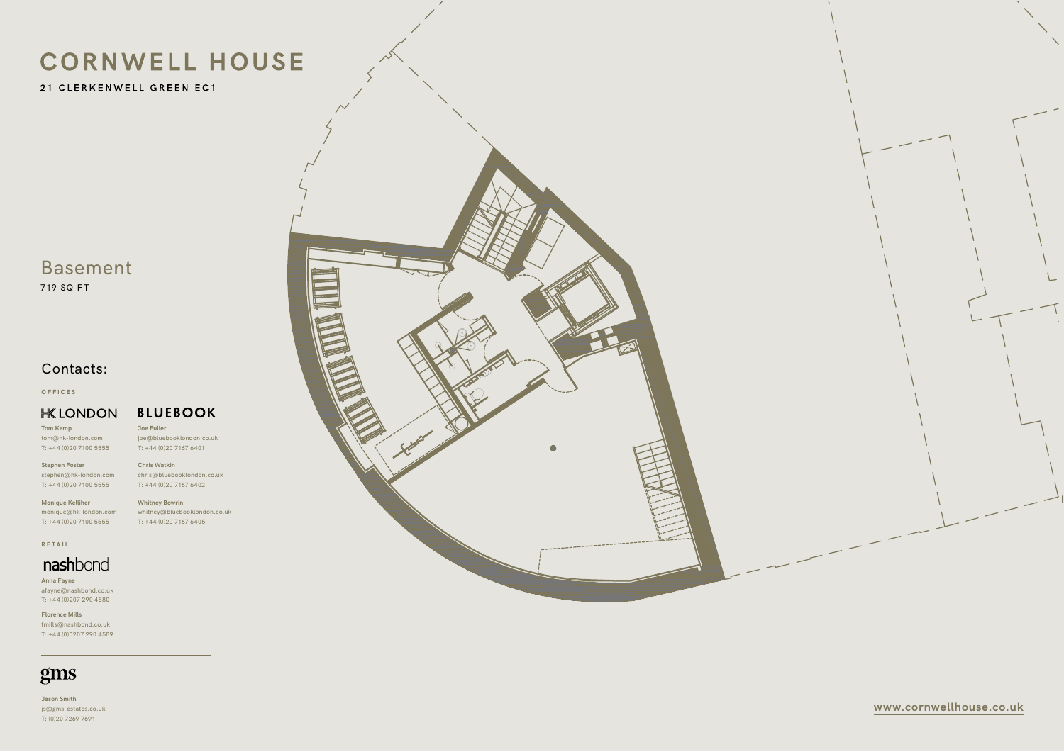21 CLERKENWELL GREEN EC1

**www.cornwellhouse.co.uk**

# Basement

719 SQ FT

**Tom Kemp** tom@hk-london.com  $T: +44(0)2071005555$ 

**Jason Smith** js@gms-estates.co.uk T: (0)20 7269 7691





**BLUEBOOK Joe Fuller**

**Stephen Foster** stephen@hk-london.com T: +44 (0)20 7100 5555

**Monique Kelliher** monique@hk-london.com T: +44 (0)20 7100 5555

**OFFICES**

#### **HK LONDON**

joe@bluebooklondon.co.uk T: +44 (0)20 7167 6401

**Chris Watkin**

chris@bluebooklondon.co.uk

T: +44 (0)20 7167 6402 **Whitney Bowrin**

whitney@bluebooklondon.co.uk T: +44 (0)20 7167 6405

**Anna Fayne** afayne@nashbond.co.uk T: +44 (0)207 290 4580

**Florence Mills** fmills@nashbond.co.uk T: +44 (0)0207 290 4589

### gms

**RETAIL**

### nashbond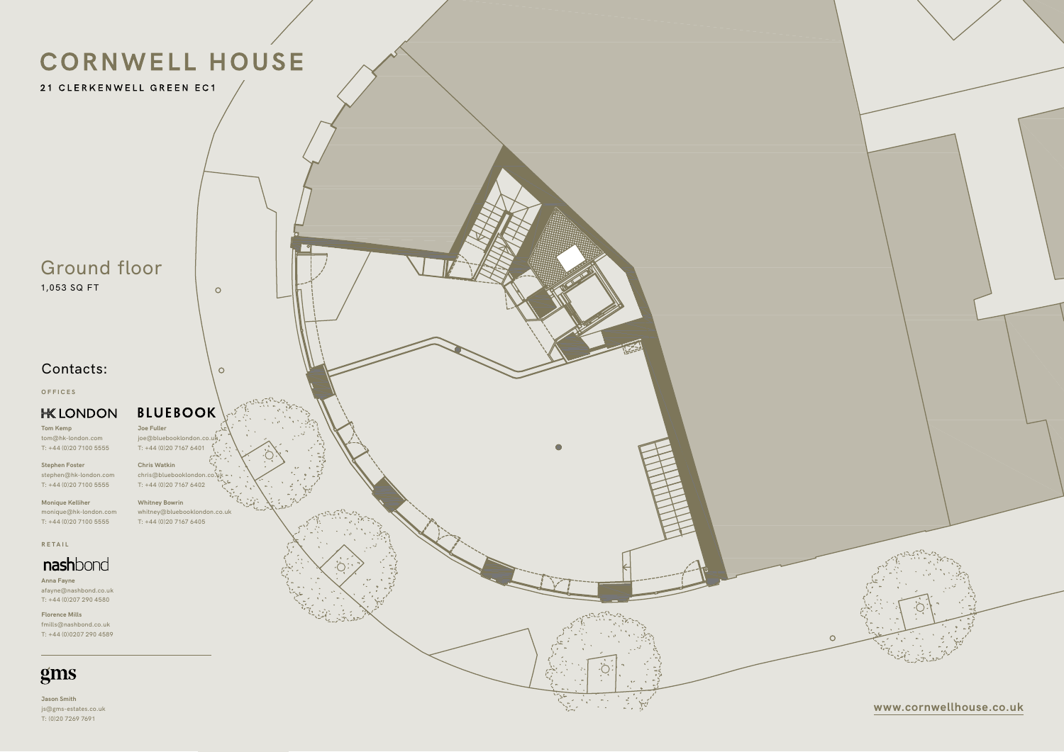21 CLERKENWELL GREEN EC1

### Ground floor

1,053 SQ FT

**www.cornwellhouse.co.uk**

**Tom Kemp** tom@hk-london.com  $T: +44(0)2071005555$ 

**Jason Smith** js@gms-estates.co.uk T: (0)20 7269 7691

**Stephen Foster** stephen@hk-london.com T: +44 (0)20 7100 5555

**Monique Kelliher** monique@hk-london.com T: +44 (0)20 7100 5555

**OFFICES**

#### **HK LONDON**



 $\circ$ 

 $\circ$ 

**Whitney Bowrin** whitney@bluebooklondon.co.uk T: +44 (0)20 7167 6405



**Anna Fayne** afayne@nashbond.co.uk T: +44 (0)207 290 4580

**Florence Mills** fmills@nashbond.co.uk T: +44 (0)0207 290 4589

### gms

**RETAIL**

### nashbond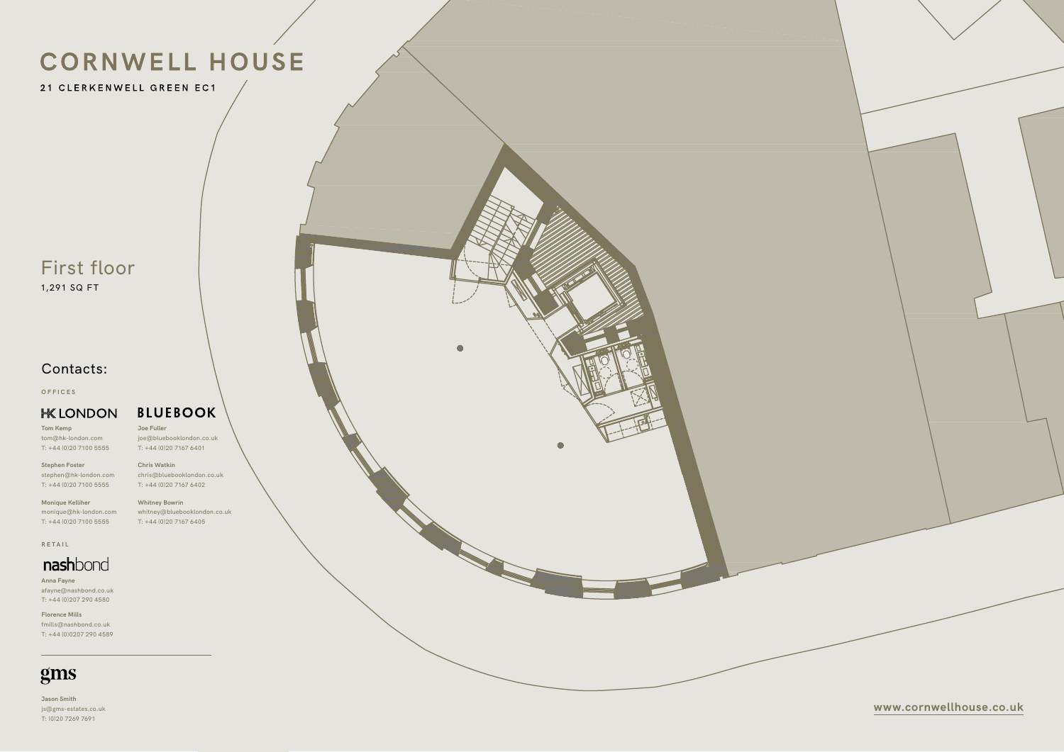21 CLERKENWELL GREEN EC1

**www.cornwellhouse.co.uk**

# First floor

1,291 SQ FT

**Jason Smith** js@gms-estates.co.uk T: (0)20 7269 7691

**Tom Kemp** tom@hk-london.com T: +44 (0)20 7100 5555

**Stephen Foster** stephen@hk-london.com T: +44 (0)20 7100 5555

**Monique Kelliher** monique@hk-london.com T: +44 (0)20 7100 5555

**OFFICES**

#### **HK LONDON**

**Joe Fuller**

joe@bluebooklondon.co.uk

**BLUEBOOK** 

T: +44 (0)20 7167 6401 **Chris Watkin** chris@bluebooklondon.co.uk T: +44 (0)20 7167 6402

**Whitney Bowrin** whitney@bluebooklondon.co.uk T: +44 (0)20 7167 6405



**Anna Fayne** afayne@nashbond.co.uk T: +44 (0)207 290 4580

**Florence Mills** fmills@nashbond.co.uk T: +44 (0)0207 290 4589

### gms

**RETAIL**

### nashbond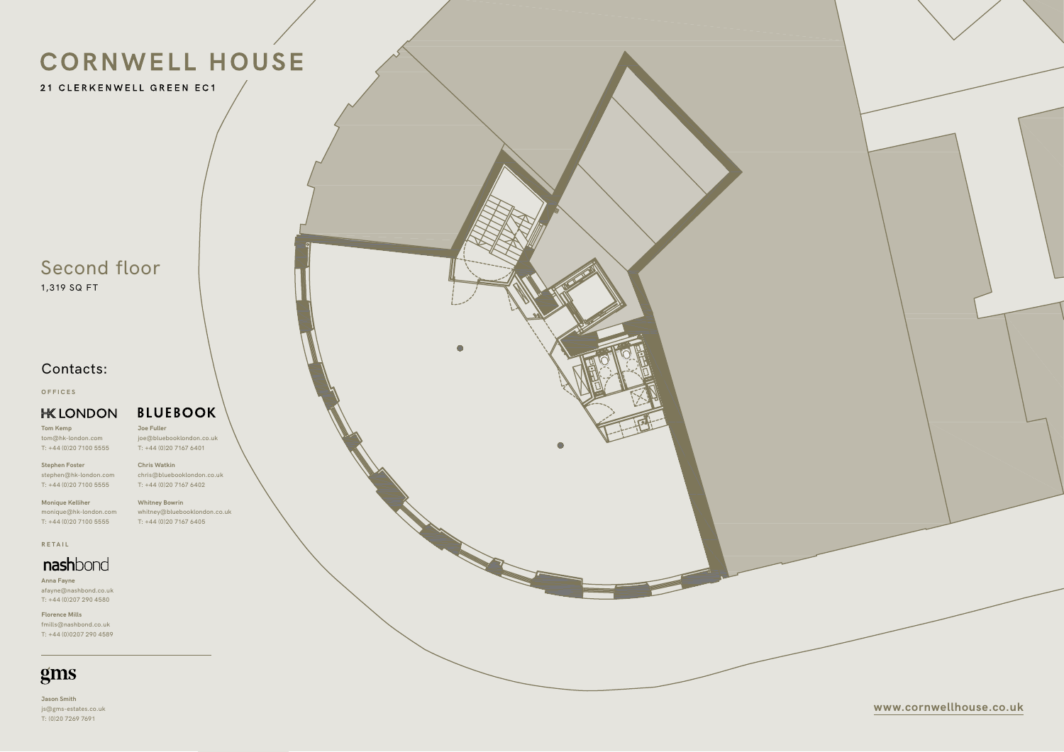21 CLERKENWELL GREEN EC1

**www.cornwellhouse.co.uk**

### Second floor 1,319 SQ FT

**Tom Kemp** tom@hk-london.com  $T: +44(0)2071005555$ 

**Jason Smith** js@gms-estates.co.uk T: (0)20 7269 7691

**Stephen Foster** stephen@hk-london.com T: +44 (0)20 7100 5555

**Monique Kelliher** monique@hk-london.com T: +44 (0)20 7100 5555

**OFFICES**

#### **HK LONDON**

**Joe Fuller**

joe@bluebooklondon.co.uk T: +44 (0)20 7167 6401

**BLUEBOOK** 

**Chris Watkin** chris@bluebooklondon.co.uk T: +44 (0)20 7167 6402

**Whitney Bowrin** whitney@bluebooklondon.co.uk T: +44 (0)20 7167 6405



**Anna Fayne** afayne@nashbond.co.uk T: +44 (0)207 290 4580

**Florence Mills** fmills@nashbond.co.uk T: +44 (0)0207 290 4589

### gms

**RETAIL**

### nashbond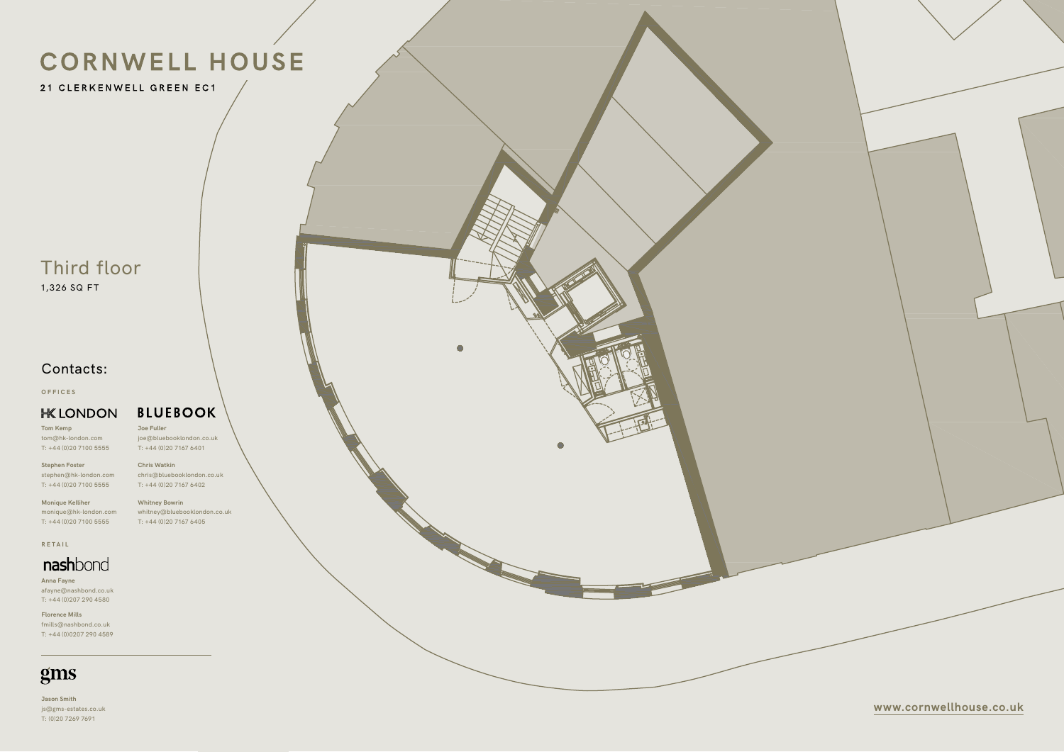21 CLERKENWELL GREEN EC1

**www.cornwellhouse.co.uk**

# Third floor

1,326 SQ FT

**Tom Kemp** tom@hk-london.com  $T: +44(0)2071005555$ 

**Jason Smith** js@gms-estates.co.uk T: (0)20 7269 7691

**Stephen Foster** stephen@hk-london.com T: +44 (0)20 7100 5555

**Monique Kelliher** monique@hk-london.com T: +44 (0)20 7100 5555

**OFFICES**

#### **HK LONDON**

**Joe Fuller**

joe@bluebooklondon.co.uk

**BLUEBOOK** 

T: +44 (0)20 7167 6401 **Chris Watkin** chris@bluebooklondon.co.uk T: +44 (0)20 7167 6402

**Whitney Bowrin** whitney@bluebooklondon.co.uk T: +44 (0)20 7167 6405



**Anna Fayne** afayne@nashbond.co.uk T: +44 (0)207 290 4580

**Florence Mills** fmills@nashbond.co.uk T: +44 (0)0207 290 4589

### gms

**RETAIL**

### nashbond